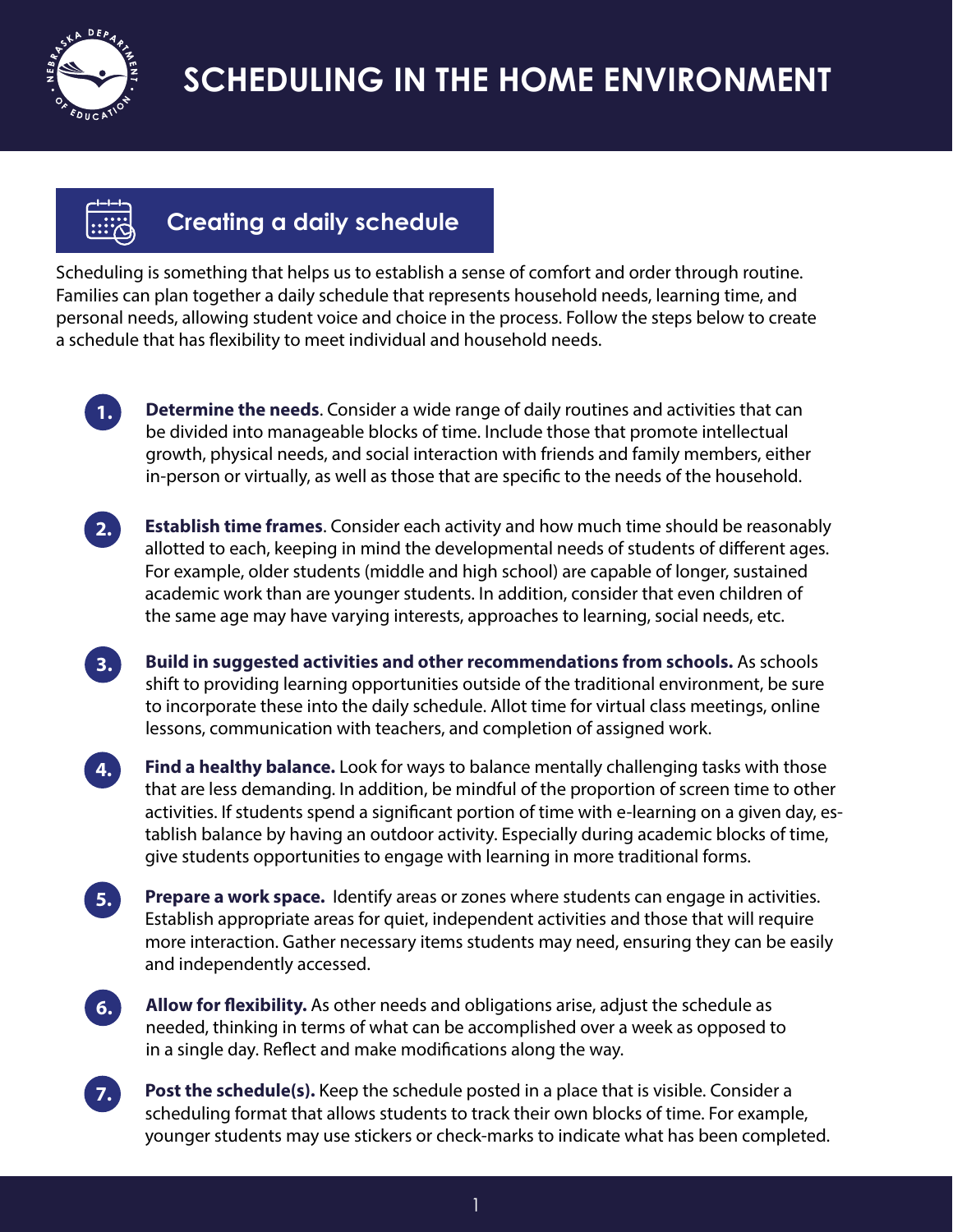



#### **Creating a daily schedule**

Scheduling is something that helps us to establish a sense of comfort and order through routine. Families can plan together a daily schedule that represents household needs, learning time, and personal needs, allowing student voice and choice in the process. Follow the steps below to create a schedule that has flexibility to meet individual and household needs.



**1. Determine the needs**. Consider a wide range of daily routines and activities that can be divided into manageable blocks of time. Include those that promote intellectual growth, physical needs, and social interaction with friends and family members, either in-person or virtually, as well as those that are specific to the needs of the household.



**2. Establish time frames**. Consider each activity and how much time should be reasonably allotted to each, keeping in mind the developmental needs of students of different ages. For example, older students (middle and high school) are capable of longer, sustained academic work than are younger students. In addition, consider that even children of the same age may have varying interests, approaches to learning, social needs, etc.

**3. Build in suggested activities and other recommendations from schools.** As schools shift to providing learning opportunities outside of the traditional environment, be sure to incorporate these into the daily schedule. Allot time for virtual class meetings, online lessons, communication with teachers, and completion of assigned work.

**4. Find a healthy balance.** Look for ways to balance mentally challenging tasks with those that are less demanding. In addition, be mindful of the proportion of screen time to other activities. If students spend a significant portion of time with e-learning on a given day, establish balance by having an outdoor activity. Especially during academic blocks of time, give students opportunities to engage with learning in more traditional forms.

**5. Prepare a work space.** Identify areas or zones where students can engage in activities. Establish appropriate areas for quiet, independent activities and those that will require more interaction. Gather necessary items students may need, ensuring they can be easily and independently accessed.

**6. Allow for flexibility.** As other needs and obligations arise, adjust the schedule as needed, thinking in terms of what can be accomplished over a week as opposed to in a single day. Reflect and make modifications along the way.

**7. Post the schedule(s).** Keep the schedule posted in a place that is visible. Consider a scheduling format that allows students to track their own blocks of time. For example, younger students may use stickers or check-marks to indicate what has been completed.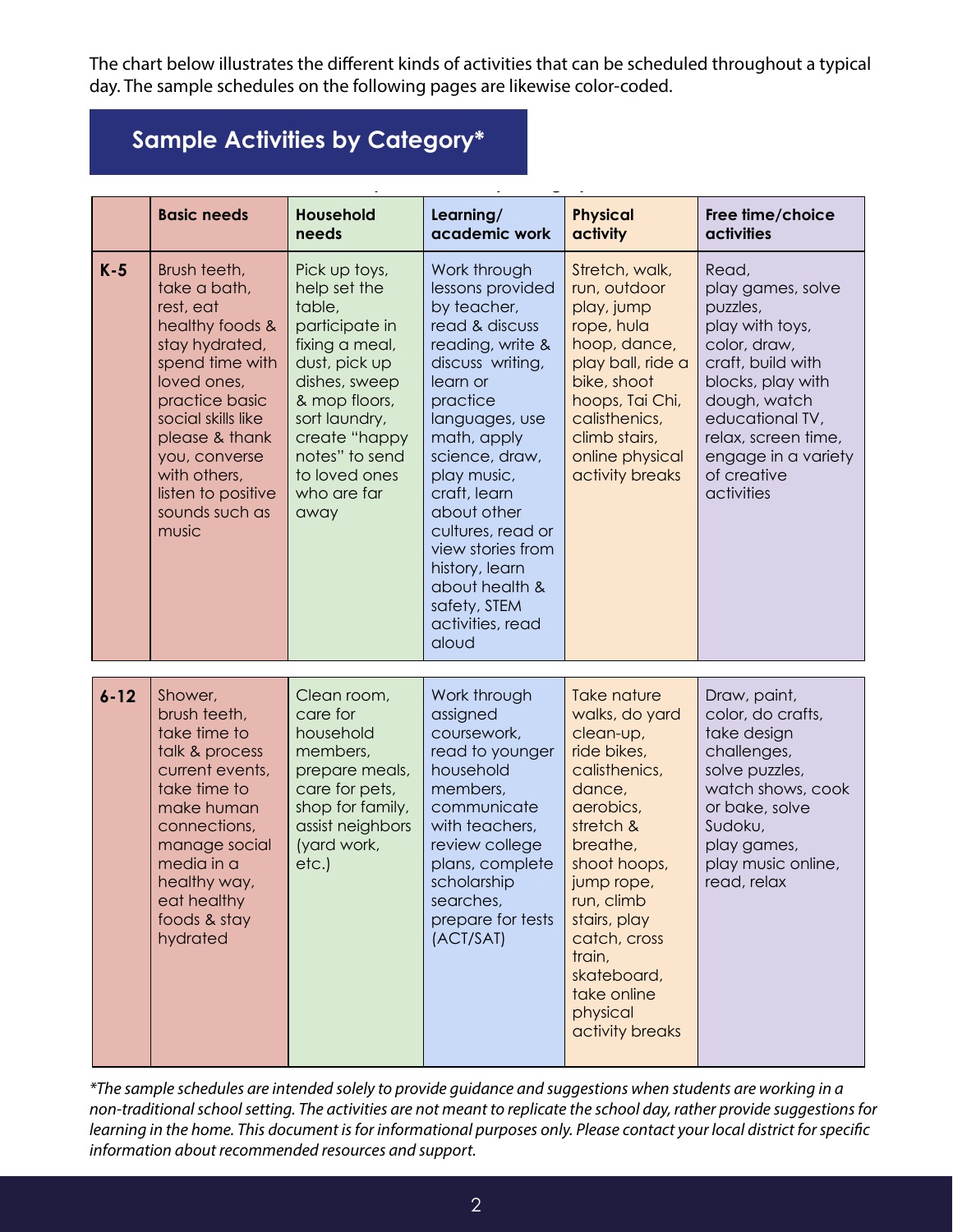The chart below illustrates the different kinds of activities that can be scheduled throughout a typical day. The sample schedules on the following pages are likewise color-coded.

The chart below illustrates the different kinds of activities that can be scheduled by scheduled by scheduled by scheduled by scheduled by scheduled by scheduled by scheduled by scheduled by scheduled by scheduled by sche

#### throughout a typical day. The sample schedules on the following pages are likewise **Sample Activities by Category\***

|          | <b>Basic needs</b>                                                                                                                                                                                                                                           | <b>Household</b><br>needs                                                                                                                                                                                                  | Learning/<br>academic work                                                                                                                                                                                                                                                                                                                                    | <b>Physical</b><br>activity                                                                                                                                                                                                                                                          | Free time/choice<br><b>activities</b>                                                                                                                                                                                             |
|----------|--------------------------------------------------------------------------------------------------------------------------------------------------------------------------------------------------------------------------------------------------------------|----------------------------------------------------------------------------------------------------------------------------------------------------------------------------------------------------------------------------|---------------------------------------------------------------------------------------------------------------------------------------------------------------------------------------------------------------------------------------------------------------------------------------------------------------------------------------------------------------|--------------------------------------------------------------------------------------------------------------------------------------------------------------------------------------------------------------------------------------------------------------------------------------|-----------------------------------------------------------------------------------------------------------------------------------------------------------------------------------------------------------------------------------|
| $K-5$    | Brush teeth,<br>take a bath,<br>rest, eat<br>healthy foods &<br>stay hydrated,<br>spend time with<br>loved ones,<br>practice basic<br>social skills like<br>please & thank<br>you, converse<br>with others,<br>listen to positive<br>sounds such as<br>music | Pick up toys,<br>help set the<br>table,<br>participate in<br>fixing a meal,<br>dust, pick up<br>dishes, sweep<br>& mop floors,<br>sort laundry,<br>create "happy<br>notes" to send<br>to loved ones<br>who are far<br>away | Work through<br>lessons provided<br>by teacher,<br>read & discuss<br>reading, write &<br>discuss writing,<br>learn or<br>practice<br>languages, use<br>math, apply<br>science, draw,<br>play music,<br>craft, learn<br>about other<br>cultures, read or<br>view stories from<br>history, learn<br>about health &<br>safety, STEM<br>activities, read<br>aloud | Stretch, walk,<br>run, outdoor<br>play, jump<br>rope, hula<br>hoop, dance,<br>play ball, ride a<br>bike, shoot<br>hoops, Tai Chi,<br>calisthenics,<br>climb stairs,<br>online physical<br>activity breaks                                                                            | Read,<br>play games, solve<br>puzzles,<br>play with toys,<br>color, draw,<br>craft, build with<br>blocks, play with<br>dough, watch<br>educational TV,<br>relax, screen time,<br>engage in a variety<br>of creative<br>activities |
| $6 - 12$ | Shower,<br>brush teeth,<br>take time to<br>talk & process<br>current events,<br>take time to<br>make human<br>connections,<br>manage social<br>media in a<br>healthy way,<br>eat healthy<br>foods & stay<br>hydrated                                         | Clean room,<br>care for<br>household<br>members,<br>prepare meals,<br>care for pets,<br>shop for family,<br>assist neighbors<br>(yard work,<br>etc.)                                                                       | Work through<br>assigned<br>coursework,<br>read to younger<br>household<br>members,<br>communicate<br>with teachers,<br>review college<br>plans, complete<br>scholarship<br>searches,<br>prepare for tests<br>(ACT/SAT)                                                                                                                                       | <b>Take nature</b><br>walks, do yard<br>clean-up,<br>ride bikes,<br>calisthenics,<br>dance,<br>aerobics,<br>stretch &<br>breathe,<br>shoot hoops,<br>jump rope,<br>run, climb<br>stairs, play<br>catch, cross<br>train,<br>skateboard,<br>take online<br>physical<br>activity breaks | Draw, paint,<br>color, do crafts,<br>take design<br>challenges,<br>solve puzzles,<br>watch shows, cook<br>or bake, solve<br>Sudoku,<br>play games,<br>play music online,<br>read, relax                                           |

\*The sample schedules are intended solely to provide guidance and suggestions when students are working in a non-traditional school setting. The activities are not meant to replicate the school day, rather provide suggestions for learning in the home. This document is for informational purposes only. Please contact your local district for specific<br>learning in the home. This document is for informational purposes only. Please contact your local dist *i purposes only. Please <i>only. Please and a purposes only. Please contact your local district for sp recommended resources and support. information about recommended resources and support.*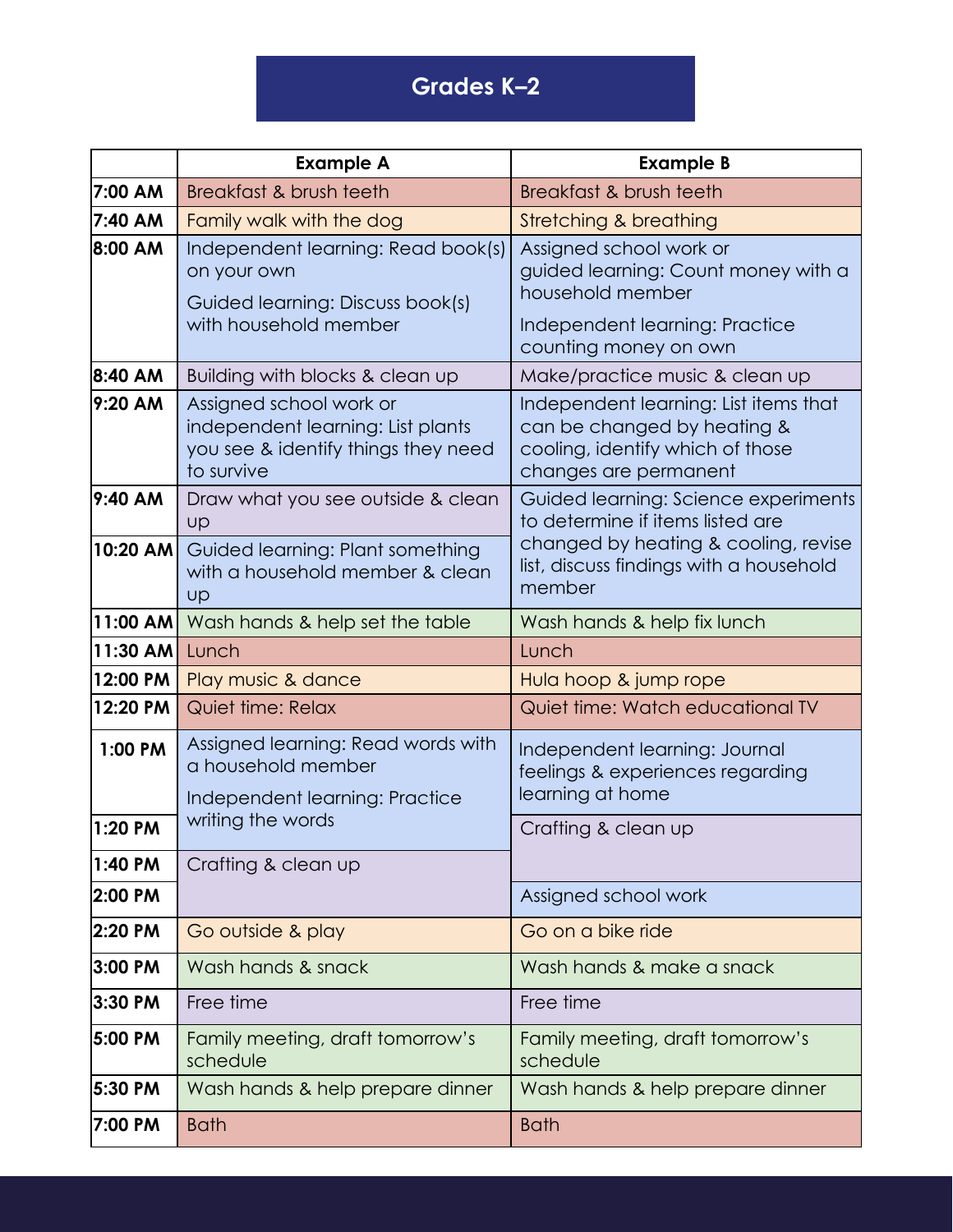# **Grades K–2**

|            | <b>Example A</b>                                                                                                  | <b>Example B</b>                                                                                                                                                      |  |
|------------|-------------------------------------------------------------------------------------------------------------------|-----------------------------------------------------------------------------------------------------------------------------------------------------------------------|--|
| 7:00 AM    | Breakfast & brush teeth                                                                                           | Breakfast & brush teeth                                                                                                                                               |  |
| 7:40 AM    | Family walk with the dog                                                                                          | <b>Stretching &amp; breathing</b>                                                                                                                                     |  |
| 8:00 AM    | Independent learning: Read book(s)<br>on your own<br>Guided learning: Discuss book(s)                             | Assigned school work or<br>guided learning: Count money with a<br>household member                                                                                    |  |
|            | with household member                                                                                             | Independent learning: Practice<br>counting money on own                                                                                                               |  |
| 8:40 AM    | Building with blocks & clean up                                                                                   | Make/practice music & clean up                                                                                                                                        |  |
| 9:20 AM    | Assigned school work or<br>independent learning: List plants<br>you see & identify things they need<br>to survive | Independent learning: List items that<br>can be changed by heating &<br>cooling, identify which of those<br>changes are permanent                                     |  |
| 9:40 AM    | Draw what you see outside & clean<br>Up                                                                           | Guided learning: Science experiments<br>to determine if items listed are<br>changed by heating & cooling, revise<br>list, discuss findings with a household<br>member |  |
| $10:20$ AM | Guided learning: Plant something<br>with a household member & clean<br>Up                                         |                                                                                                                                                                       |  |
| $11:00$ AM | Wash hands & help set the table                                                                                   | Wash hands & help fix lunch                                                                                                                                           |  |
| 11:30 AM   | Lunch                                                                                                             | Lunch                                                                                                                                                                 |  |
| 12:00 PM   | Play music & dance                                                                                                | Hula hoop & jump rope                                                                                                                                                 |  |
| 12:20 PM   | Quiet time: Relax                                                                                                 | Quiet time: Watch educational TV                                                                                                                                      |  |
| 1:00 PM    | Assigned learning: Read words with<br>a household member<br>Independent learning: Practice                        | Independent learning: Journal<br>feelings & experiences regarding<br>learning at home                                                                                 |  |
| 1:20 PM    | writing the words                                                                                                 | Crafting & clean up                                                                                                                                                   |  |
| 1:40 PM    | Crafting & clean up                                                                                               |                                                                                                                                                                       |  |
| 2:00 PM    |                                                                                                                   | Assigned school work                                                                                                                                                  |  |
| 2:20 PM    | Go outside & play                                                                                                 | Go on a bike ride                                                                                                                                                     |  |
| 3:00 PM    | Wash hands & snack                                                                                                | Wash hands & make a snack                                                                                                                                             |  |
| 3:30 PM    | Free time                                                                                                         | Free time                                                                                                                                                             |  |
| 5:00 PM    | Family meeting, draft tomorrow's<br>schedule                                                                      | Family meeting, draft tomorrow's<br>schedule                                                                                                                          |  |
| 5:30 PM    | Wash hands & help prepare dinner                                                                                  | Wash hands & help prepare dinner                                                                                                                                      |  |
| 7:00 PM    | <b>Bath</b>                                                                                                       | <b>Bath</b>                                                                                                                                                           |  |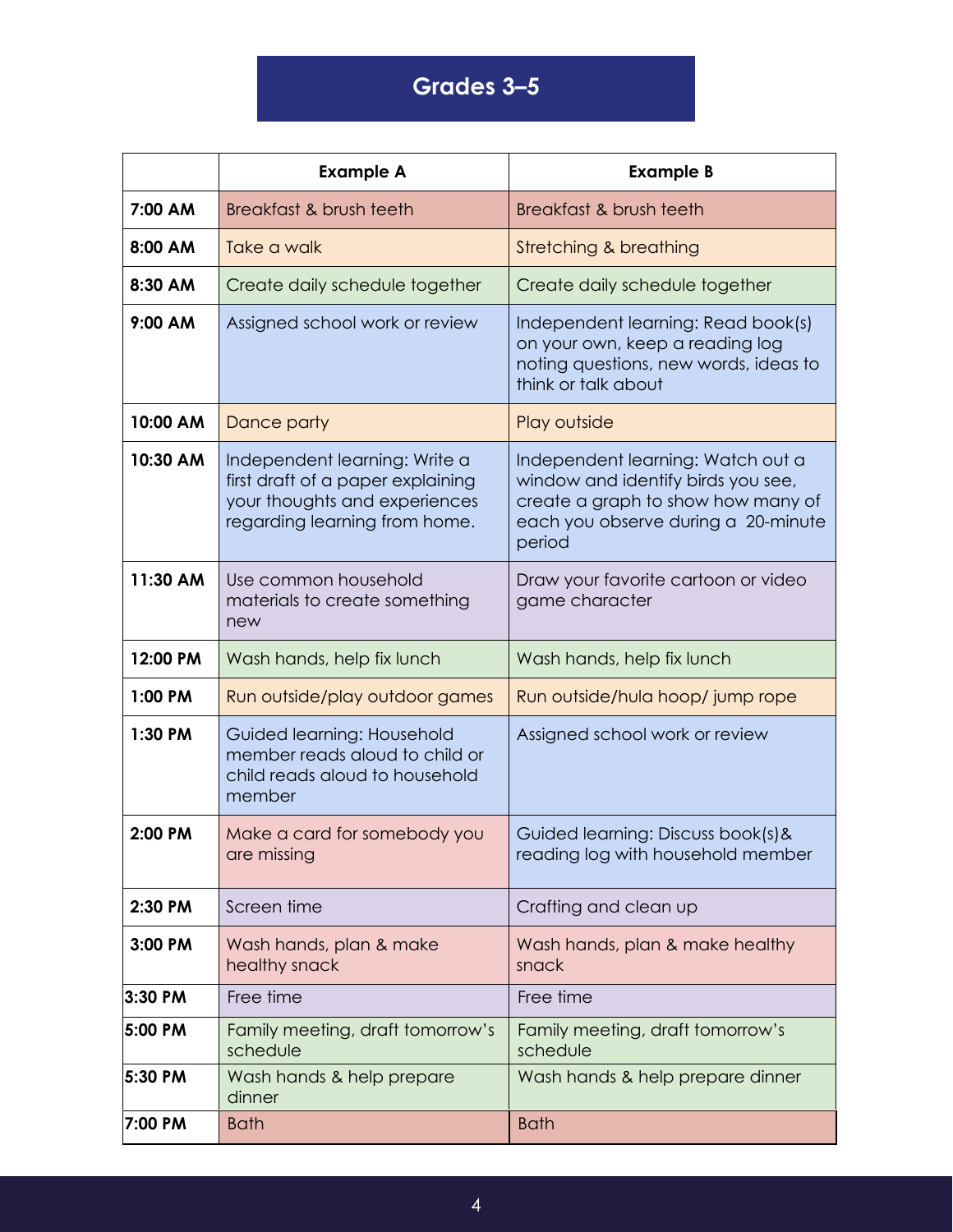# **Grades 3–5**

|          | <b>Example A</b>                                                                                                                     | <b>Example B</b>                                                                                                                                               |
|----------|--------------------------------------------------------------------------------------------------------------------------------------|----------------------------------------------------------------------------------------------------------------------------------------------------------------|
| 7:00 AM  | Breakfast & brush teeth                                                                                                              | Breakfast & brush teeth                                                                                                                                        |
| 8:00 AM  | Take a walk                                                                                                                          | Stretching & breathing                                                                                                                                         |
| 8:30 AM  | Create daily schedule together                                                                                                       | Create daily schedule together                                                                                                                                 |
| 9:00 AM  | Assigned school work or review                                                                                                       | Independent learning: Read book(s)<br>on your own, keep a reading log<br>noting questions, new words, ideas to<br>think or talk about                          |
| 10:00 AM | Dance party                                                                                                                          | Play outside                                                                                                                                                   |
| 10:30 AM | Independent learning: Write a<br>first draft of a paper explaining<br>your thoughts and experiences<br>regarding learning from home. | Independent learning: Watch out a<br>window and identify birds you see,<br>create a graph to show how many of<br>each you observe during a 20-minute<br>period |
| 11:30 AM | Use common household<br>materials to create something<br>new                                                                         | Draw your favorite cartoon or video<br>game character                                                                                                          |
| 12:00 PM | Wash hands, help fix lunch                                                                                                           | Wash hands, help fix lunch                                                                                                                                     |
| 1:00 PM  | Run outside/play outdoor games                                                                                                       | Run outside/hula hoop/ jump rope                                                                                                                               |
| 1:30 PM  | Guided learning: Household<br>member reads aloud to child or<br>child reads aloud to household<br>member                             | Assigned school work or review                                                                                                                                 |
| 2:00 PM  | Make a card for somebody you<br>are missing                                                                                          | Guided learning: Discuss book(s) &<br>reading log with household member                                                                                        |
| 2:30 PM  | Screen time                                                                                                                          | Crafting and clean up                                                                                                                                          |
| 3:00 PM  | Wash hands, plan & make<br>healthy snack                                                                                             | Wash hands, plan & make healthy<br>snack                                                                                                                       |
| 3:30 PM  | Free time                                                                                                                            | Free time                                                                                                                                                      |
| 5:00 PM  | Family meeting, draft tomorrow's<br>schedule                                                                                         | Family meeting, draft tomorrow's<br>schedule                                                                                                                   |
| 5:30 PM  | Wash hands & help prepare<br>dinner                                                                                                  | Wash hands & help prepare dinner                                                                                                                               |
| 7:00 PM  | <b>Bath</b>                                                                                                                          | <b>Bath</b>                                                                                                                                                    |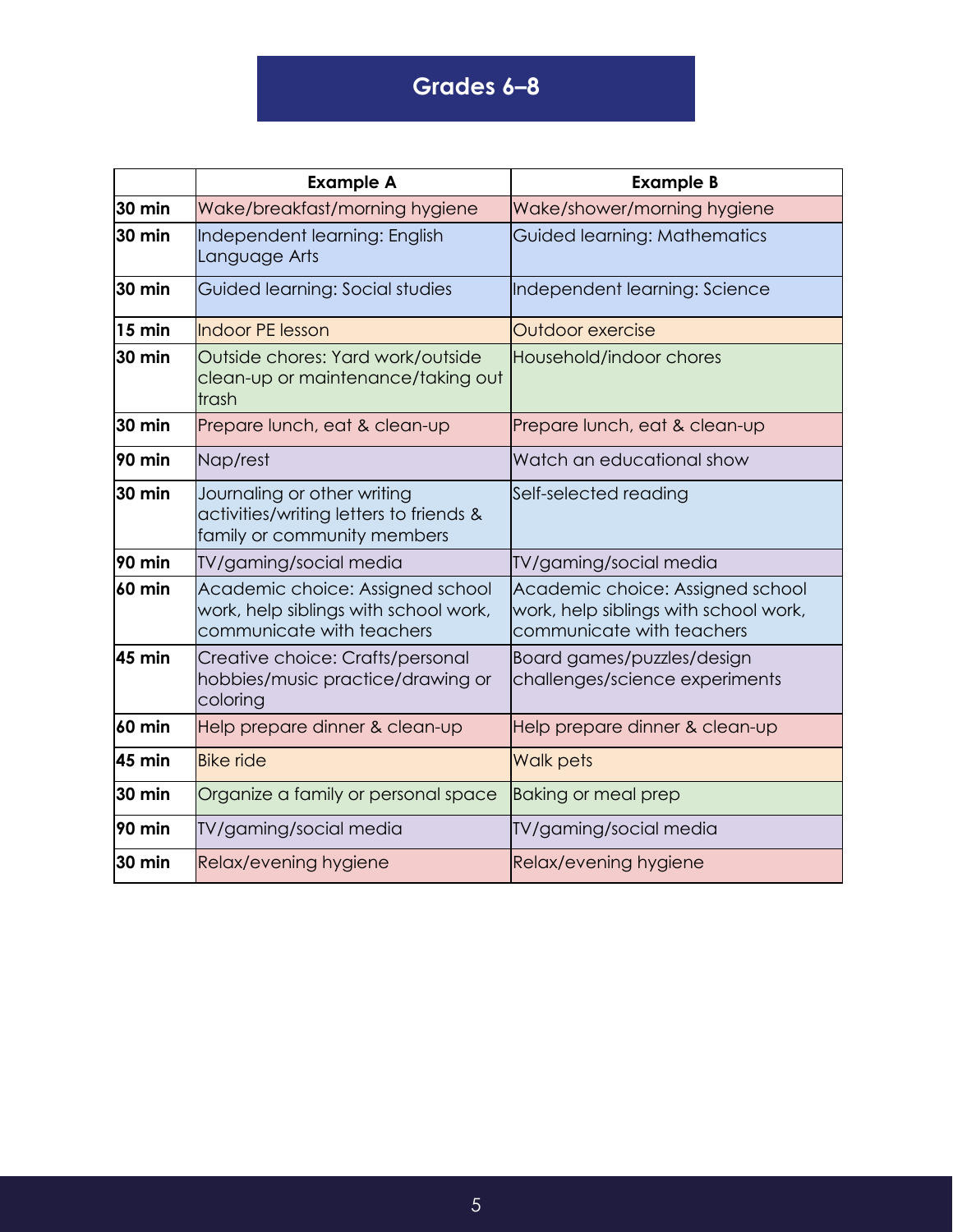### **Grades 6–8**

|               | <b>Example A</b>                                                                                       | <b>Example B</b>                                                                                       |
|---------------|--------------------------------------------------------------------------------------------------------|--------------------------------------------------------------------------------------------------------|
| 30 min        | Wake/breakfast/morning hygiene                                                                         | Wake/shower/morning hygiene                                                                            |
| 30 min        | Independent learning: English<br>Language Arts                                                         | Guided learning: Mathematics                                                                           |
| 30 min        | Guided learning: Social studies                                                                        | Independent learning: Science                                                                          |
| $15$ min      | <b>Indoor PE lesson</b>                                                                                | Outdoor exercise                                                                                       |
| <b>30 min</b> | Outside chores: Yard work/outside<br>clean-up or maintenance/taking out<br>trash                       | Household/indoor chores                                                                                |
| 30 min        | Prepare lunch, eat & clean-up                                                                          | Prepare lunch, eat & clean-up                                                                          |
| 90 min        | Nap/rest                                                                                               | Watch an educational show                                                                              |
| 30 min        | Journaling or other writing<br>activities/writing letters to friends &<br>family or community members  | Self-selected reading                                                                                  |
| 90 min        | TV/gaming/social media                                                                                 | TV/gaming/social media                                                                                 |
| 60 min        | Academic choice: Assigned school<br>work, help siblings with school work,<br>communicate with teachers | Academic choice: Assigned school<br>work, help siblings with school work,<br>communicate with teachers |
| 45 min        | Creative choice: Crafts/personal<br>hobbies/music practice/drawing or<br>coloring                      | Board games/puzzles/design<br>challenges/science experiments                                           |
| 60 min        | Help prepare dinner & clean-up                                                                         | Help prepare dinner & clean-up                                                                         |
| 45 min        | <b>Bike ride</b>                                                                                       | Walk pets                                                                                              |
| 30 min        | Organize a family or personal space                                                                    | <b>Baking or meal prep</b>                                                                             |
| 90 min        | TV/gaming/social media                                                                                 | TV/gaming/social media                                                                                 |
| 30 min        | Relax/evening hygiene                                                                                  | Relax/evening hygiene                                                                                  |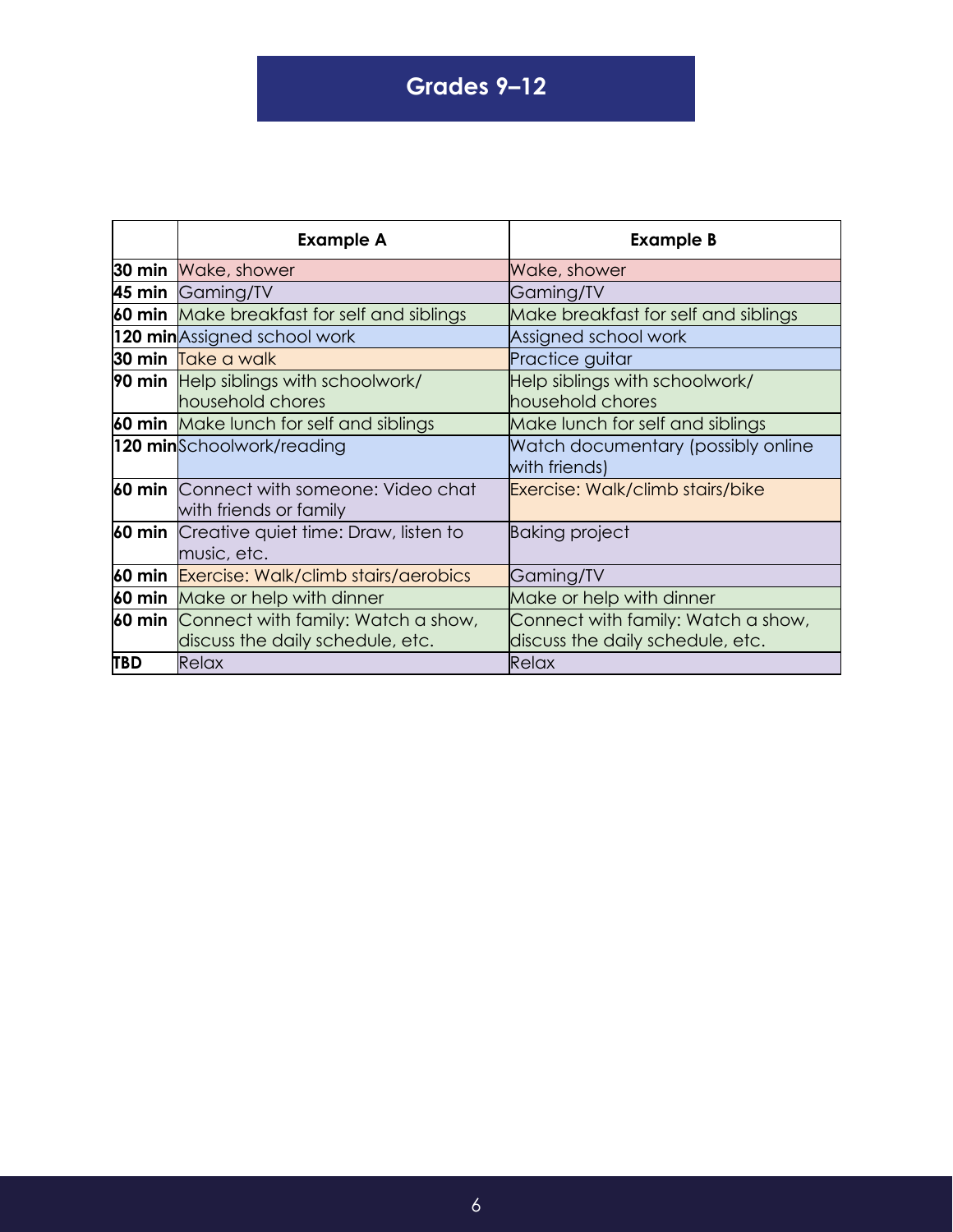#### **Grades 9–12**

**Grades 9-12**

|            | <b>Example A</b>                                                         | <b>Example B</b>                                    |
|------------|--------------------------------------------------------------------------|-----------------------------------------------------|
|            | <b>30 min</b> Wake, shower                                               | Wake, shower                                        |
|            | 45 min Gaming/TV                                                         | Gaming/TV                                           |
|            | 60 min Make breakfast for self and siblings                              | Make breakfast for self and siblings                |
|            | 120 minAssigned school work                                              | Assigned school work                                |
|            | 30 min Take a walk                                                       | Practice guitar                                     |
|            | <b>90 min</b> Help siblings with schoolwork/                             | Help siblings with schoolwork/                      |
|            | household chores                                                         | household chores                                    |
|            | 60 min Make lunch for self and siblings                                  | Make lunch for self and siblings                    |
|            | 120 minSchoolwork/reading                                                | Watch documentary (possibly online<br>with friends) |
|            | <b>60 min</b> Connect with someone: Video chat<br>with friends or family | Exercise: Walk/climb stairs/bike                    |
| 60 min     | Creative quiet time: Draw, listen to<br>music, etc.                      | <b>Baking project</b>                               |
|            | 60 min Exercise: Walk/climb stairs/aerobics                              | Gaming/TV                                           |
|            | 60 min Make or help with dinner                                          | Make or help with dinner                            |
|            | 60 min Connect with family: Watch a show,                                | Connect with family: Watch a show,                  |
|            | discuss the daily schedule, etc.                                         | discuss the daily schedule, etc.                    |
| <b>TBD</b> | Relax                                                                    | Relax                                               |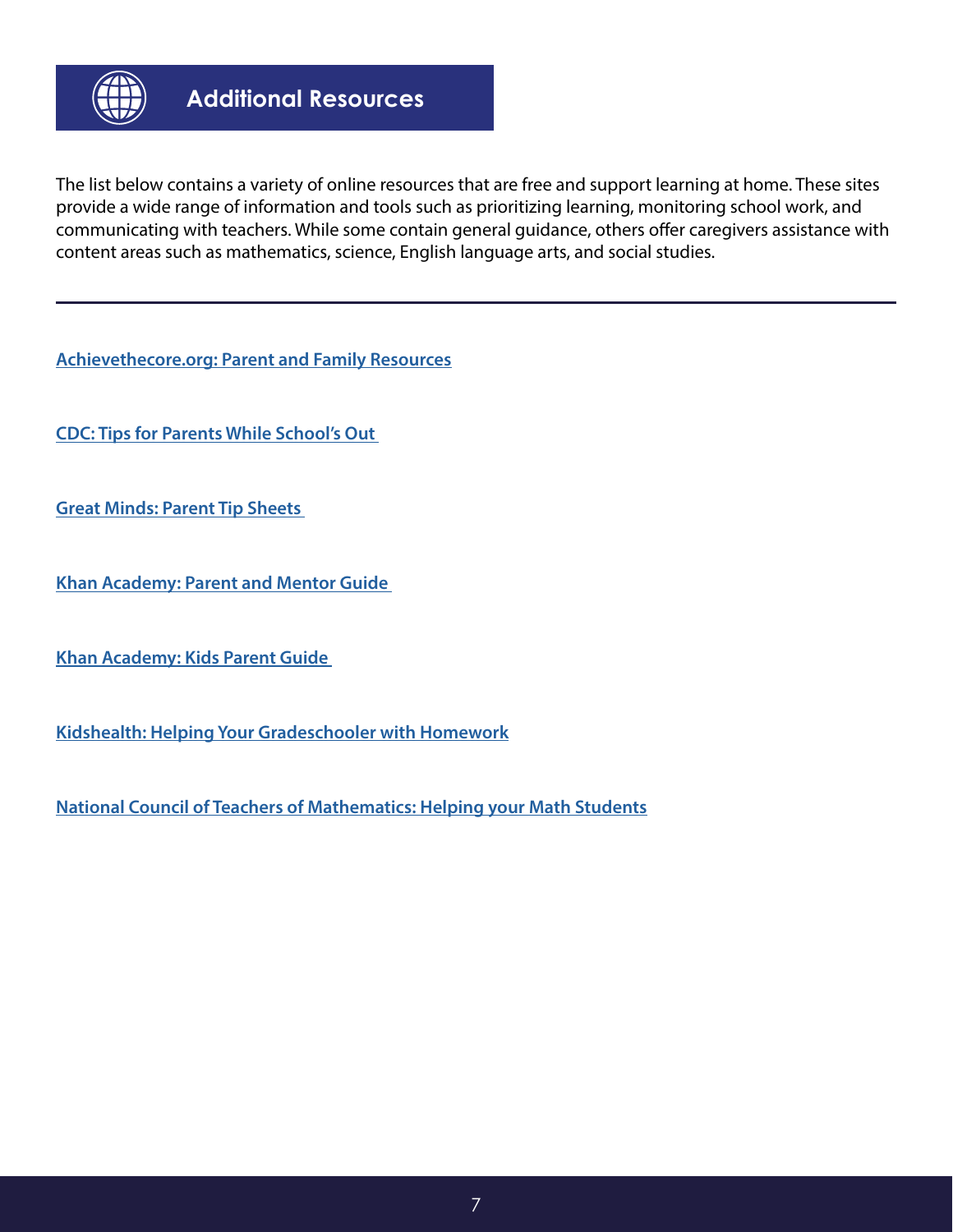

The list below contains a variety of online resources that are free and support learning at home. These sites provide a wide range of information and tools such as prioritizing learning, monitoring school work, and communicating with teachers. While some contain general guidance, others offer caregivers assistance with content areas such as mathematics, science, English language arts, and social studies.

**[Achievethecore.org: Parent and Family Resources](https://achievethecore.org/search?q=parent)**

**[CDC: Tips for Parents While School's Out](https://www.cdc.gov/coronavirus/2019-ncov/prepare/children.html)** 

**[Great Minds: Parent Tip Sheets](https://greatminds.org/english/parents)** 

**[Khan Academy: Parent and Mentor Guide](https://www.khanacademy.org/resources/parents-mentors-1)** 

**[Khan Academy: Kids Parent Guide](https://khankids.zendesk.com/hc/en-us/articles/360006764812-Parent-Guide-Using-Khan-Academy-Kids-at-Home)** 

**[Kidshealth: Helping Your Gradeschooler with Homework](https://kidshealth.org/en/parents/help-gradeschooler-homework.html)**

**[National Council of Teachers of Mathematics: Helping your Math Students](https://www.nctm.org/News-and-Calendar/Messages-from-the-President/Archive/J_-Michael-Shaughnessy/Support-for-Parents-and-Families_-Helping-your-Math-Students/)**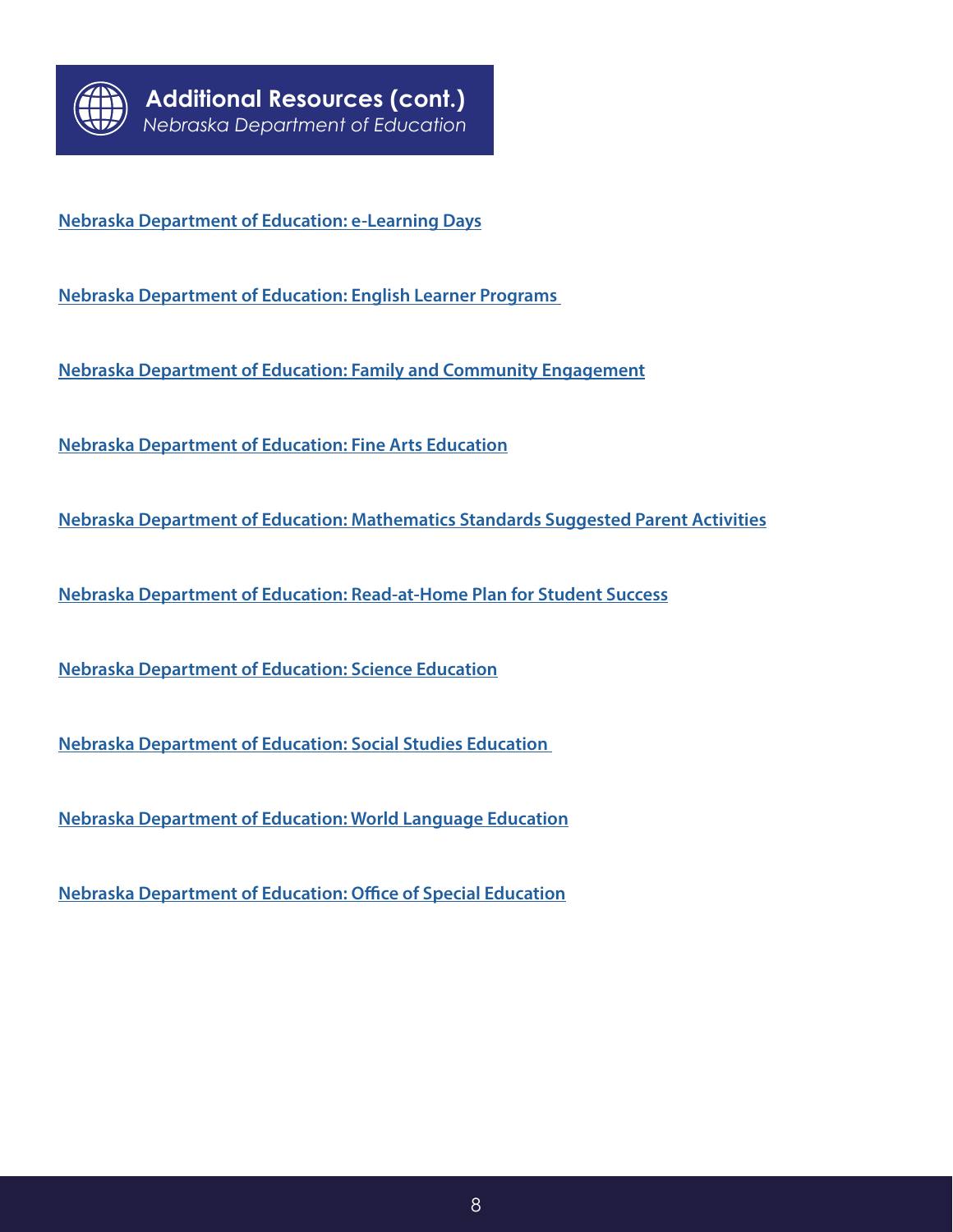

**[Nebraska Department of Education: e-Learning Days](https://www.education.ne.gov/educational-technology/e-learning-days/)**

**[Nebraska Department of Education: English Learner Programs](https://www.education.ne.gov/natlorigin/)** 

**[Nebraska Department of Education: Family and Community Engagement](https://www.education.ne.gov/ciptoolkit/family-community-engagement/)**

**[Nebraska Department of Education: Fine Arts Education](https://www.education.ne.gov/finearts/)**

**[Nebraska Department of Education: Mathematics Standards Suggested Parent Activities](https://www.education.ne.gov/wp-content/uploads/2017/07/NE_math_standards_parent_activity.pdf)**

**[Nebraska Department of Education: Read-at-Home Plan for Student Success](https://cdn.education.ne.gov/wp-content/uploads/2019/09/Read-At-Home-Plan-3.pdf)**

**[Nebraska Department of Education: Science Education](https://www.education.ne.gov/science/)**

**[Nebraska Department of Education: Social Studies Education](https://www.education.ne.gov/socialstudies/)** 

**[Nebraska Department of Education: World Language Education](https://docs.google.com/document/d/1KcKUz2EDUoICjXzZdFnE6PLuUAQG2qkS_Mn-G7vxaDE/edit?usp=sharing)**

**[Nebraska Department of Education: Office of Special Education](https://www.education.ne.gov/sped/)**